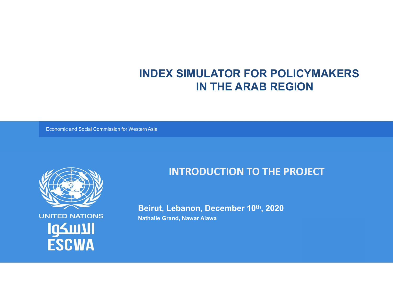# INDEX SIMULATOR FOR POLICYMAKERS IN THE ARAB REGION

Economic and Social Commission for Western Asia



**UNITED NATIONS** الاسكوا **ESCWA** 

## INTRODUCTION TO THE PROJECT

Beirut, Lebanon, December 10th, 2020

Nathalie Grand, Nawar Alawa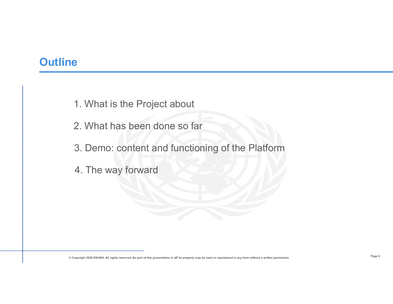## **Outline**

extending the Project about<br>
2. What has been done so far

2. What is the Project about<br>2. What has been done so far<br>3. Demo: content and functioning of the Platform 3. What is the Project about<br>2. What has been done so far<br>3. Demo: content and functioning of the Platform<br>4. The way forward Face<br>
1. What is the Project about<br>
2. What has been done so far<br>
3. Demo: content and functioning of the Platform<br>
4. The way forward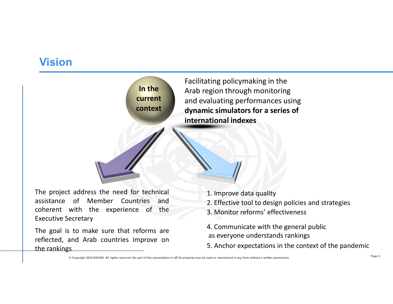## Vision



- 
- 
- 
- 
-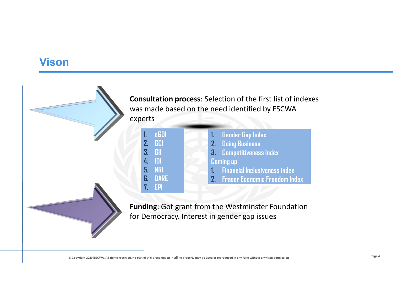#### Vison

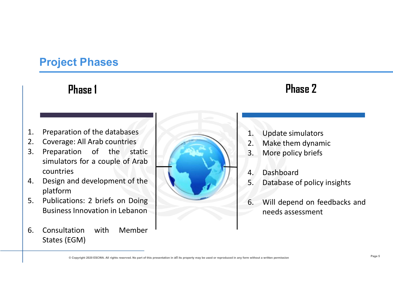# Project Phases

# Phase 1 Phase 2

- 
- 
- countries
- platform
- 
- 



- 
- **Phase 2**<br>1. Update simulators<br>2. Make them dynamic<br>3. More policy briefs **Phase 2**<br>1. Update simulators<br>2. Make them dynamic<br>3. More policy briefs<br>4. Dashboard
- 
- 
- **Phase 2**<br>**2.** Make simulators<br>2. Make them dynamic<br>3. More policy briefs<br>4. Dashboard<br>5. Database of policy insights
- **Phase 2**<br>
1. Update simulators<br>
2. Make them dynamic<br>
3. More policy briefs<br>
4. Dashboard<br>
5. Database of policy insights<br>
6. Will depend on feedbacks and **Finase 2**<br>
1. Update simulators<br>
2. Make them dynamic<br>
3. More policy briefs<br>
4. Dashboard<br>
5. Database of policy insights<br>
6. Will depend on feedbacks and<br>
needs assessment **Finage 2**<br>
1. Update simulators<br>
2. Make them dynamic<br>
3. More policy briefs<br>
4. Dashboard<br>
5. Database of policy insights<br>
6. Will depend on feedbacks and<br>
needs assessment **PRIBSE Z**<br>
Update simulators<br>
Make them dynamic<br>
More policy briefs<br>
Dashboard<br>
Database of policy insights<br>
Will depend on feedbacks and<br>
needs assessment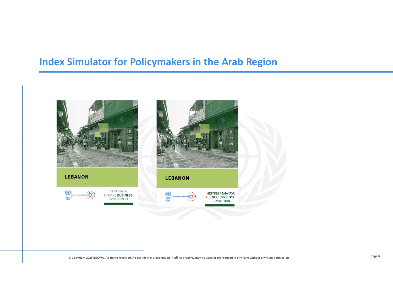### Index Simulator for Policymakers in the Arab Region